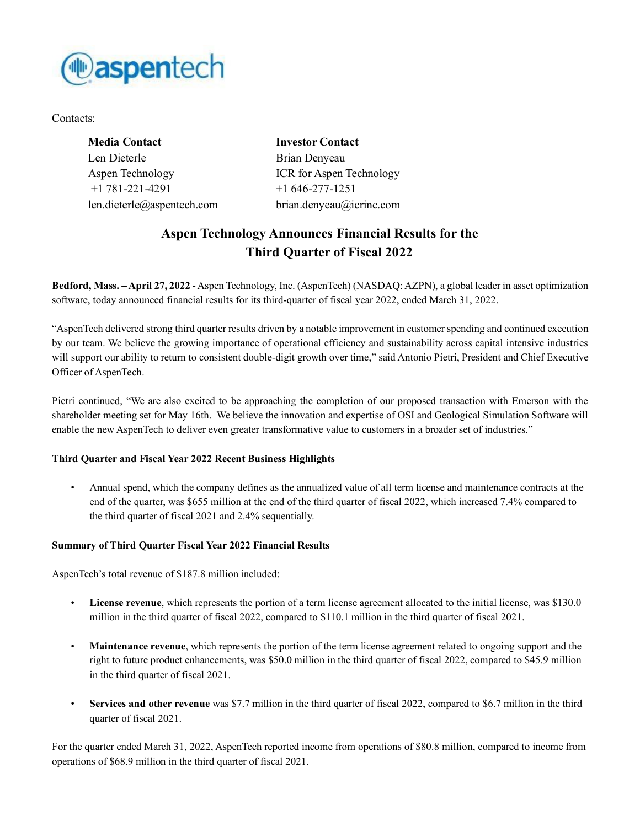

Contacts:

| <b>Media Contact</b>       | <b>Investor Contact</b>  |
|----------------------------|--------------------------|
| Len Dieterle               | Brian Denyeau            |
| Aspen Technology           | ICR for Aspen Technology |
| $+1$ 781-221-4291          | $+1646-277-1251$         |
| len.dieterle@aspentech.com | brian.denyeau@icrinc.com |

# **Aspen Technology Announces Financial Results for the Third Quarter of Fiscal 2022**

**Bedford, Mass. –April 27, 2022** -Aspen Technology, Inc. (AspenTech) (NASDAQ: AZPN), a global leader in asset optimization software, today announced financial results for its third-quarter of fiscal year 2022, ended March 31, 2022.

"AspenTech delivered strong third quarter results driven by a notable improvement in customer spending and continued execution by our team. We believe the growing importance of operational efficiency and sustainability across capital intensive industries will support our ability to return to consistent double-digit growth over time," said Antonio Pietri, President and Chief Executive Officer of AspenTech.

Pietri continued, "We are also excited to be approaching the completion of our proposed transaction with Emerson with the shareholder meeting set for May 16th. We believe the innovation and expertise of OSI and Geological Simulation Software will enable the new AspenTech to deliver even greater transformative value to customers in a broader set of industries."

# **Third Quarter and Fiscal Year 2022 Recent Business Highlights**

• Annual spend, which the company defines as the annualized value of all term license and maintenance contracts at the end of the quarter, was \$655 million at the end of the third quarter of fiscal 2022, which increased 7.4% compared to the third quarter of fiscal 2021 and 2.4% sequentially.

# **Summary of Third Quarter Fiscal Year 2022 Financial Results**

AspenTech's total revenue of \$187.8 million included:

- **License revenue**, which represents the portion of a term license agreement allocated to the initial license, was \$130.0 million in the third quarter of fiscal 2022, compared to \$110.1 million in the third quarter of fiscal 2021.
- **Maintenance revenue**, which represents the portion of the term license agreement related to ongoing support and the right to future product enhancements, was \$50.0 million in the third quarter of fiscal 2022, compared to \$45.9 million in the third quarter of fiscal 2021.
- **Services and other revenue** was \$7.7 million in the third quarter of fiscal 2022, compared to \$6.7 million in the third quarter of fiscal 2021.

For the quarter ended March 31, 2022, AspenTech reported income from operations of \$80.8 million, compared to income from operations of \$68.9 million in the third quarter of fiscal 2021.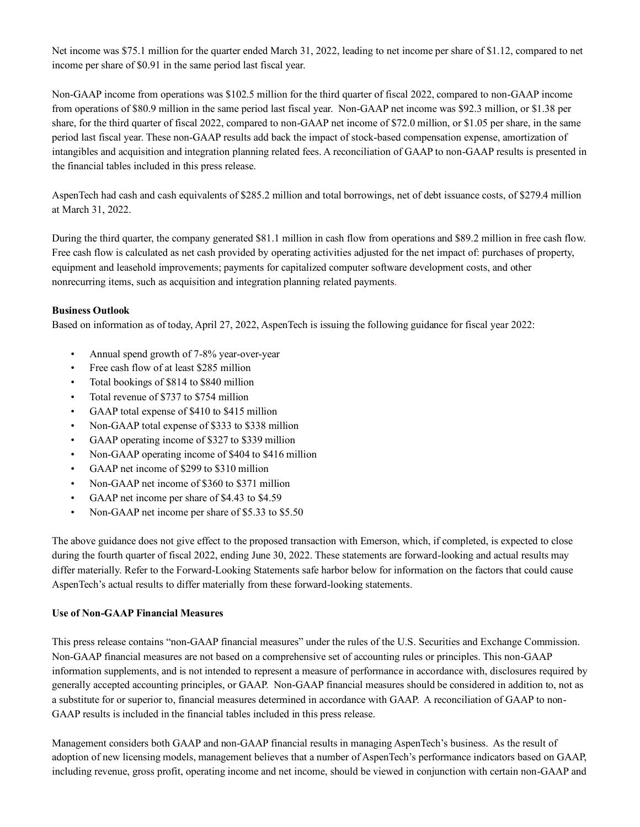Net income was \$75.1 million for the quarter ended March 31, 2022, leading to net income per share of \$1.12, compared to net income per share of \$0.91 in the same period last fiscal year.

Non-GAAP income from operations was \$102.5 million for the third quarter of fiscal 2022, compared to non-GAAP income from operations of \$80.9 million in the same period last fiscal year. Non-GAAP net income was \$92.3 million, or \$1.38 per share, for the third quarter of fiscal 2022, compared to non-GAAP net income of \$72.0 million, or \$1.05 per share, in the same period last fiscal year. These non-GAAP results add back the impact of stock-based compensation expense, amortization of intangibles and acquisition and integration planning related fees. A reconciliation of GAAP to non-GAAP results is presented in the financial tables included in this press release.

AspenTech had cash and cash equivalents of \$285.2 million and total borrowings, net of debt issuance costs, of \$279.4 million at March 31, 2022.

During the third quarter, the company generated \$81.1 million in cash flow from operations and \$89.2 million in free cash flow. Free cash flow is calculated as net cash provided by operating activities adjusted for the net impact of: purchases of property, equipment and leasehold improvements; payments for capitalized computer software development costs, and other nonrecurring items, such as acquisition and integration planning related payments.

# **Business Outlook**

Based on information as of today, April 27, 2022, AspenTech is issuing the following guidance for fiscal year 2022:

- Annual spend growth of 7-8% year-over-year
- Free cash flow of at least \$285 million
- Total bookings of \$814 to \$840 million
- Total revenue of \$737 to \$754 million
- GAAP total expense of \$410 to \$415 million
- Non-GAAP total expense of \$333 to \$338 million
- GAAP operating income of \$327 to \$339 million
- Non-GAAP operating income of \$404 to \$416 million
- GAAP net income of \$299 to \$310 million
- Non-GAAP net income of \$360 to \$371 million
- GAAP net income per share of \$4.43 to \$4.59
- Non-GAAP net income per share of \$5.33 to \$5.50

The above guidance does not give effect to the proposed transaction with Emerson, which, if completed, is expected to close during the fourth quarter of fiscal 2022, ending June 30, 2022. These statements are forward-looking and actual results may differ materially. Refer to the Forward-Looking Statements safe harbor below for information on the factors that could cause AspenTech's actual results to differ materially from these forward-looking statements.

#### **Use of Non-GAAP Financial Measures**

This press release contains "non-GAAP financial measures" under the rules of the U.S. Securities and Exchange Commission. Non-GAAP financial measures are not based on a comprehensive set of accounting rules or principles. This non-GAAP information supplements, and is not intended to represent a measure of performance in accordance with, disclosures required by generally accepted accounting principles, or GAAP. Non-GAAP financial measures should be considered in addition to, not as a substitute for or superior to, financial measures determined in accordance with GAAP. A reconciliation of GAAP to non-GAAP results is included in the financial tables included in this press release.

Management considers both GAAP and non-GAAP financial results in managing AspenTech's business. As the result of adoption of new licensing models, management believes that a number of AspenTech's performance indicators based on GAAP, including revenue, gross profit, operating income and net income, should be viewed in conjunction with certain non-GAAP and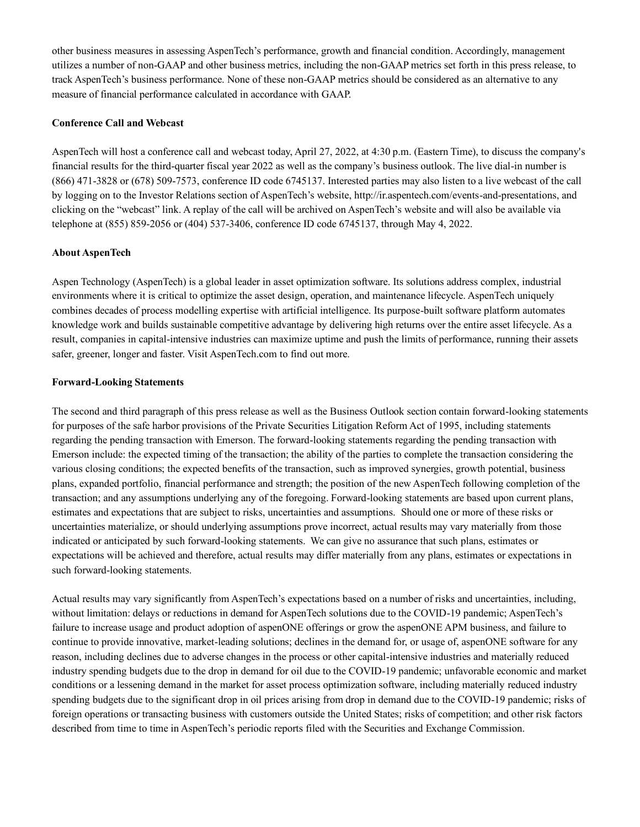other business measures in assessing AspenTech's performance, growth and financial condition. Accordingly, management utilizes a number of non-GAAP and other business metrics, including the non-GAAP metrics set forth in this press release, to track AspenTech's business performance. None of these non-GAAP metrics should be considered as an alternative to any measure of financial performance calculated in accordance with GAAP.

#### **Conference Call and Webcast**

AspenTech will host a conference call and webcast today, April 27, 2022, at 4:30 p.m. (Eastern Time), to discuss the company's financial results for the third-quarter fiscal year 2022 as well as the company's business outlook. The live dial-in number is (866) 471-3828 or (678) 509-7573, conference ID code 6745137. Interested parties may also listen to a live webcast of the call by logging on to the Investor Relations section of AspenTech's website, http://ir.aspentech.com/events-and-presentations, and clicking on the "webcast" link. A replay of the call will be archived on AspenTech's website and will also be available via telephone at (855) 859-2056 or (404) 537-3406, conference ID code 6745137, through May 4, 2022.

## **About AspenTech**

Aspen Technology (AspenTech) is a global leader in asset optimization software. Its solutions address complex, industrial environments where it is critical to optimize the asset design, operation, and maintenance lifecycle. AspenTech uniquely combines decades of process modelling expertise with artificial intelligence. Its purpose-built software platform automates knowledge work and builds sustainable competitive advantage by delivering high returns over the entire asset lifecycle. As a result, companies in capital-intensive industries can maximize uptime and push the limits of performance, running their assets safer, greener, longer and faster. Visit AspenTech.com to find out more.

## **Forward-Looking Statements**

The second and third paragraph of this press release as well as the Business Outlook section contain forward-looking statements for purposes of the safe harbor provisions of the Private Securities Litigation Reform Act of 1995, including statements regarding the pending transaction with Emerson. The forward-looking statements regarding the pending transaction with Emerson include: the expected timing of the transaction; the ability of the parties to complete the transaction considering the various closing conditions; the expected benefits of the transaction, such as improved synergies, growth potential, business plans, expanded portfolio, financial performance and strength; the position of the new AspenTech following completion of the transaction; and any assumptions underlying any of the foregoing. Forward-looking statements are based upon current plans, estimates and expectations that are subject to risks, uncertainties and assumptions. Should one or more of these risks or uncertainties materialize, or should underlying assumptions prove incorrect, actual results may vary materially from those indicated or anticipated by such forward-looking statements. We can give no assurance that such plans, estimates or expectations will be achieved and therefore, actual results may differ materially from any plans, estimates or expectations in such forward-looking statements.

Actual results may vary significantly from AspenTech's expectations based on a number of risks and uncertainties, including, without limitation: delays or reductions in demand for AspenTech solutions due to the COVID-19 pandemic; AspenTech's failure to increase usage and product adoption of aspenONE offerings or grow the aspenONE APM business, and failure to continue to provide innovative, market-leading solutions; declines in the demand for, or usage of, aspenONE software for any reason, including declines due to adverse changes in the process or other capital-intensive industries and materially reduced industry spending budgets due to the drop in demand for oil due to the COVID-19 pandemic; unfavorable economic and market conditions or a lessening demand in the market for asset process optimization software, including materially reduced industry spending budgets due to the significant drop in oil prices arising from drop in demand due to the COVID-19 pandemic; risks of foreign operations or transacting business with customers outside the United States; risks of competition; and other risk factors described from time to time in AspenTech's periodic reports filed with the Securities and Exchange Commission.